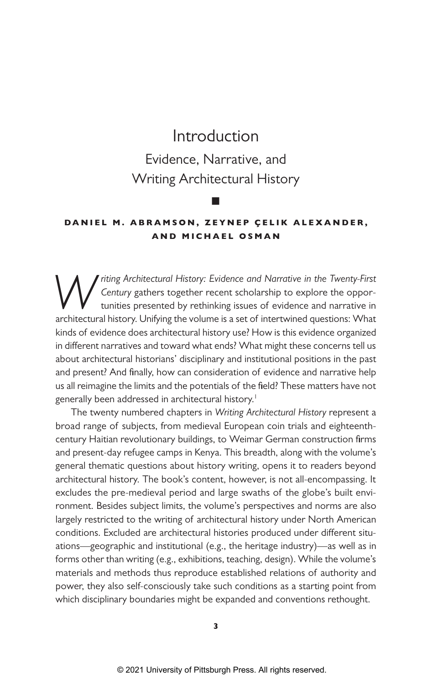# Introduction Evidence, Narrative, and Writing Architectural History

■

### **DANIEL M. ABRAMSON, ZEYNEP ÇELIK ALEXANDER, AND MICHAEL OSMAN**

*Writing Architectural History: Evidence and Narrative in the Twenty-First Century* gathers together recent scholarship to explore the opportunities presented by rethinking issues of evidence and narrative in architectural history. Unifying the volume is a set of intertwined questions: What kinds of evidence does architectural history use? How is this evidence organized in different narratives and toward what ends? What might these concerns tell us about architectural historians' disciplinary and institutional positions in the past and present? And finally, how can consideration of evidence and narrative help us all reimagine the limits and the potentials of the field? These matters have not generally been addressed in architectural history.<sup>1</sup>

The twenty numbered chapters in *Writing Architectural History* represent a broad range of subjects, from medieval European coin trials and eighteenthcentury Haitian revolutionary buildings, to Weimar German construction firms and present-day refugee camps in Kenya. This breadth, along with the volume's general thematic questions about history writing, opens it to readers beyond architectural history. The book's content, however, is not all-encompassing. It excludes the pre-medieval period and large swaths of the globe's built environment. Besides subject limits, the volume's perspectives and norms are also largely restricted to the writing of architectural history under North American conditions. Excluded are architectural histories produced under different situations—geographic and institutional (e.g., the heritage industry)—as well as in forms other than writing (e.g., exhibitions, teaching, design). While the volume's materials and methods thus reproduce established relations of authority and power, they also self-consciously take such conditions as a starting point from which disciplinary boundaries might be expanded and conventions rethought.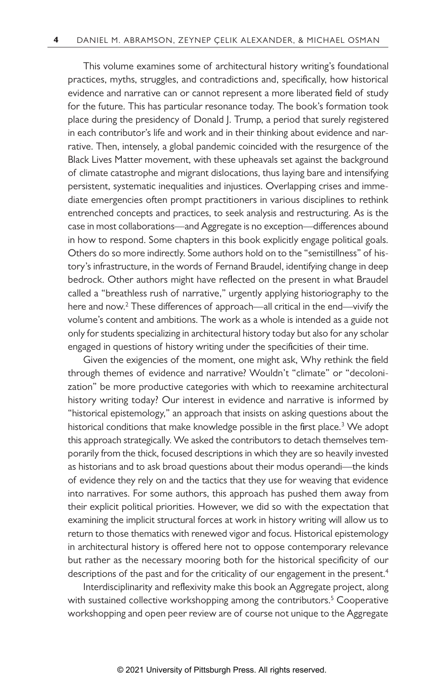This volume examines some of architectural history writing's foundational practices, myths, struggles, and contradictions and, specifically, how historical evidence and narrative can or cannot represent a more liberated field of study for the future. This has particular resonance today. The book's formation took place during the presidency of Donald J. Trump, a period that surely registered in each contributor's life and work and in their thinking about evidence and narrative. Then, intensely, a global pandemic coincided with the resurgence of the Black Lives Matter movement, with these upheavals set against the background of climate catastrophe and migrant dislocations, thus laying bare and intensifying persistent, systematic inequalities and injustices. Overlapping crises and immediate emergencies often prompt practitioners in various disciplines to rethink entrenched concepts and practices, to seek analysis and restructuring. As is the case in most collaborations—and Aggregate is no exception—differences abound in how to respond. Some chapters in this book explicitly engage political goals. Others do so more indirectly. Some authors hold on to the "semistillness" of history's infrastructure, in the words of Fernand Braudel, identifying change in deep bedrock. Other authors might have reflected on the present in what Braudel called a "breathless rush of narrative," urgently applying historiography to the here and now.<sup>2</sup> These differences of approach—all critical in the end—vivify the volume's content and ambitions. The work as a whole is intended as a guide not only for students specializing in architectural history today but also for any scholar engaged in questions of history writing under the specificities of their time.

Given the exigencies of the moment, one might ask, Why rethink the field through themes of evidence and narrative? Wouldn't "climate" or "decolonization" be more productive categories with which to reexamine architectural history writing today? Our interest in evidence and narrative is informed by "historical epistemology," an approach that insists on asking questions about the historical conditions that make knowledge possible in the first place.<sup>3</sup> We adopt this approach strategically. We asked the contributors to detach themselves temporarily from the thick, focused descriptions in which they are so heavily invested as historians and to ask broad questions about their modus operandi—the kinds of evidence they rely on and the tactics that they use for weaving that evidence into narratives. For some authors, this approach has pushed them away from their explicit political priorities. However, we did so with the expectation that examining the implicit structural forces at work in history writing will allow us to return to those thematics with renewed vigor and focus. Historical epistemology in architectural history is offered here not to oppose contemporary relevance but rather as the necessary mooring both for the historical specificity of our descriptions of the past and for the criticality of our engagement in the present.<sup>4</sup>

Interdisciplinarity and reflexivity make this book an Aggregate project, along with sustained collective workshopping among the contributors.<sup>5</sup> Cooperative workshopping and open peer review are of course not unique to the Aggregate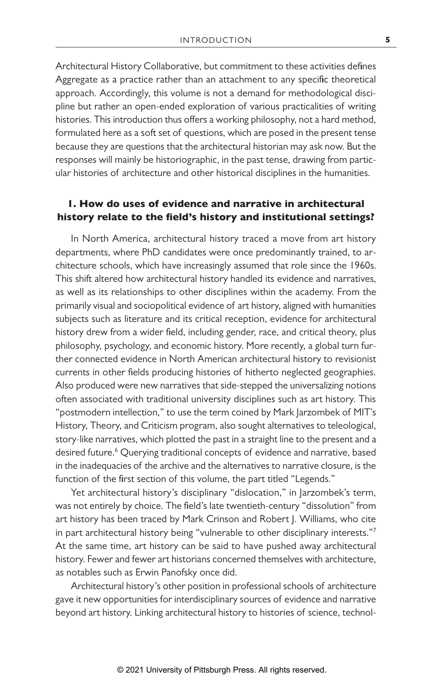Architectural History Collaborative, but commitment to these activities defines Aggregate as a practice rather than an attachment to any specific theoretical approach. Accordingly, this volume is not a demand for methodological discipline but rather an open-ended exploration of various practicalities of writing histories. This introduction thus offers a working philosophy, not a hard method, formulated here as a soft set of questions, which are posed in the present tense because they are questions that the architectural historian may ask now. But the responses will mainly be historiographic, in the past tense, drawing from particular histories of architecture and other historical disciplines in the humanities.

### **1. How do uses of evidence and narrative in architectural history relate to the field's history and institutional settings?**

In North America, architectural history traced a move from art history departments, where PhD candidates were once predominantly trained, to architecture schools, which have increasingly assumed that role since the 1960s. This shift altered how architectural history handled its evidence and narratives, as well as its relationships to other disciplines within the academy. From the primarily visual and sociopolitical evidence of art history, aligned with humanities subjects such as literature and its critical reception, evidence for architectural history drew from a wider field, including gender, race, and critical theory, plus philosophy, psychology, and economic history. More recently, a global turn further connected evidence in North American architectural history to revisionist currents in other fields producing histories of hitherto neglected geographies. Also produced were new narratives that side-stepped the universalizing notions often associated with traditional university disciplines such as art history. This "postmodern intellection," to use the term coined by Mark Jarzombek of MIT's History, Theory, and Criticism program, also sought alternatives to teleological, story-like narratives, which plotted the past in a straight line to the present and a desired future.<sup>6</sup> Querying traditional concepts of evidence and narrative, based in the inadequacies of the archive and the alternatives to narrative closure, is the function of the first section of this volume, the part titled "Legends."

Yet architectural history's disciplinary "dislocation," in Jarzombek's term, was not entirely by choice. The field's late twentieth-century "dissolution" from art history has been traced by Mark Crinson and Robert J. Williams, who cite in part architectural history being "vulnerable to other disciplinary interests."7 At the same time, art history can be said to have pushed away architectural history. Fewer and fewer art historians concerned themselves with architecture, as notables such as Erwin Panofsky once did.

Architectural history's other position in professional schools of architecture gave it new opportunities for interdisciplinary sources of evidence and narrative beyond art history. Linking architectural history to histories of science, technol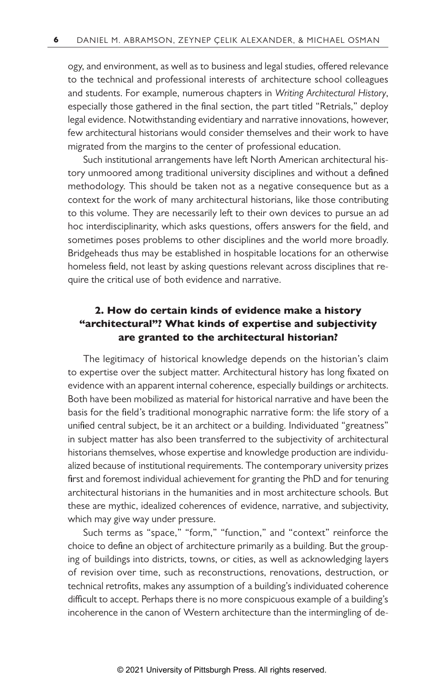ogy, and environment, as well as to business and legal studies, offered relevance to the technical and professional interests of architecture school colleagues and students. For example, numerous chapters in *Writing Architectural History*, especially those gathered in the final section, the part titled "Retrials," deploy legal evidence. Notwithstanding evidentiary and narrative innovations, however, few architectural historians would consider themselves and their work to have migrated from the margins to the center of professional education.

Such institutional arrangements have left North American architectural history unmoored among traditional university disciplines and without a defined methodology. This should be taken not as a negative consequence but as a context for the work of many architectural historians, like those contributing to this volume. They are necessarily left to their own devices to pursue an ad hoc interdisciplinarity, which asks questions, offers answers for the field, and sometimes poses problems to other disciplines and the world more broadly. Bridgeheads thus may be established in hospitable locations for an otherwise homeless field, not least by asking questions relevant across disciplines that require the critical use of both evidence and narrative.

## **2. How do certain kinds of evidence make a history "architectural"? What kinds of expertise and subjectivity are granted to the architectural historian?**

The legitimacy of historical knowledge depends on the historian's claim to expertise over the subject matter. Architectural history has long fixated on evidence with an apparent internal coherence, especially buildings or architects. Both have been mobilized as material for historical narrative and have been the basis for the field's traditional monographic narrative form: the life story of a unified central subject, be it an architect or a building. Individuated "greatness" in subject matter has also been transferred to the subjectivity of architectural historians themselves, whose expertise and knowledge production are individualized because of institutional requirements. The contemporary university prizes first and foremost individual achievement for granting the PhD and for tenuring architectural historians in the humanities and in most architecture schools. But these are mythic, idealized coherences of evidence, narrative, and subjectivity, which may give way under pressure.

Such terms as "space," "form," "function," and "context" reinforce the choice to define an object of architecture primarily as a building. But the grouping of buildings into districts, towns, or cities, as well as acknowledging layers of revision over time, such as reconstructions, renovations, destruction, or technical retrofits, makes any assumption of a building's individuated coherence difficult to accept. Perhaps there is no more conspicuous example of a building's incoherence in the canon of Western architecture than the intermingling of de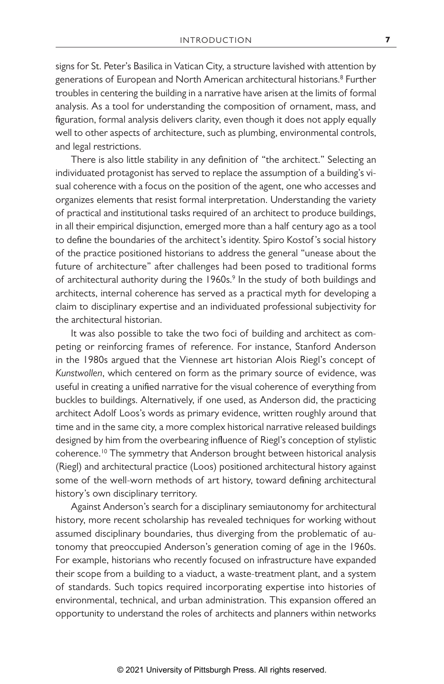signs for St. Peter's Basilica in Vatican City, a structure lavished with attention by generations of European and North American architectural historians.<sup>8</sup> Further troubles in centering the building in a narrative have arisen at the limits of formal analysis. As a tool for understanding the composition of ornament, mass, and figuration, formal analysis delivers clarity, even though it does not apply equally well to other aspects of architecture, such as plumbing, environmental controls, and legal restrictions.

There is also little stability in any definition of "the architect." Selecting an individuated protagonist has served to replace the assumption of a building's visual coherence with a focus on the position of the agent, one who accesses and organizes elements that resist formal interpretation. Understanding the variety of practical and institutional tasks required of an architect to produce buildings, in all their empirical disjunction, emerged more than a half century ago as a tool to define the boundaries of the architect's identity. Spiro Kostof 's social history of the practice positioned historians to address the general "unease about the future of architecture" after challenges had been posed to traditional forms of architectural authority during the 1960s.<sup>9</sup> In the study of both buildings and architects, internal coherence has served as a practical myth for developing a claim to disciplinary expertise and an individuated professional subjectivity for the architectural historian.

It was also possible to take the two foci of building and architect as competing or reinforcing frames of reference. For instance, Stanford Anderson in the 1980s argued that the Viennese art historian Alois Riegl's concept of *Kunstwollen*, which centered on form as the primary source of evidence, was useful in creating a unified narrative for the visual coherence of everything from buckles to buildings. Alternatively, if one used, as Anderson did, the practicing architect Adolf Loos's words as primary evidence, written roughly around that time and in the same city, a more complex historical narrative released buildings designed by him from the overbearing influence of Riegl's conception of stylistic coherence.10 The symmetry that Anderson brought between historical analysis (Riegl) and architectural practice (Loos) positioned architectural history against some of the well-worn methods of art history, toward defining architectural history's own disciplinary territory.

Against Anderson's search for a disciplinary semiautonomy for architectural history, more recent scholarship has revealed techniques for working without assumed disciplinary boundaries, thus diverging from the problematic of autonomy that preoccupied Anderson's generation coming of age in the 1960s. For example, historians who recently focused on infrastructure have expanded their scope from a building to a viaduct, a waste-treatment plant, and a system of standards. Such topics required incorporating expertise into histories of environmental, technical, and urban administration. This expansion offered an opportunity to understand the roles of architects and planners within networks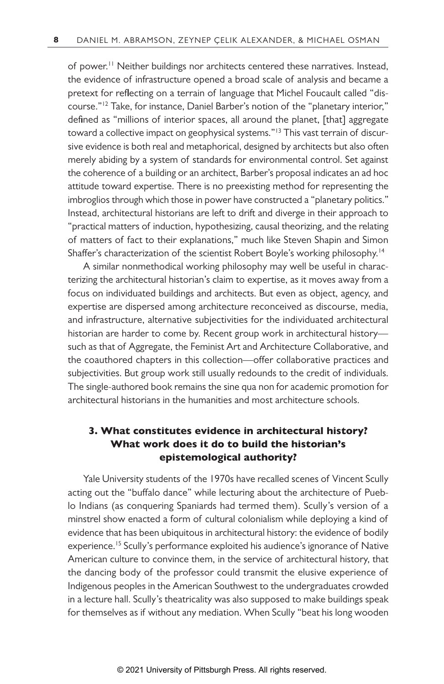of power.<sup>11</sup> Neither buildings nor architects centered these narratives. Instead, the evidence of infrastructure opened a broad scale of analysis and became a pretext for reflecting on a terrain of language that Michel Foucault called "discourse."12 Take, for instance, Daniel Barber's notion of the "planetary interior," defined as "millions of interior spaces, all around the planet, [that] aggregate toward a collective impact on geophysical systems."<sup>13</sup> This vast terrain of discursive evidence is both real and metaphorical, designed by architects but also often merely abiding by a system of standards for environmental control. Set against the coherence of a building or an architect, Barber's proposal indicates an ad hoc attitude toward expertise. There is no preexisting method for representing the imbroglios through which those in power have constructed a "planetary politics." Instead, architectural historians are left to drift and diverge in their approach to "practical matters of induction, hypothesizing, causal theorizing, and the relating of matters of fact to their explanations," much like Steven Shapin and Simon Shaffer's characterization of the scientist Robert Boyle's working philosophy.<sup>14</sup>

A similar nonmethodical working philosophy may well be useful in characterizing the architectural historian's claim to expertise, as it moves away from a focus on individuated buildings and architects. But even as object, agency, and expertise are dispersed among architecture reconceived as discourse, media, and infrastructure, alternative subjectivities for the individuated architectural historian are harder to come by. Recent group work in architectural history such as that of Aggregate, the Feminist Art and Architecture Collaborative, and the coauthored chapters in this collection—offer collaborative practices and subjectivities. But group work still usually redounds to the credit of individuals. The single-authored book remains the sine qua non for academic promotion for architectural historians in the humanities and most architecture schools.

### **3. What constitutes evidence in architectural history? What work does it do to build the historian's epistemological authority?**

Yale University students of the 1970s have recalled scenes of Vincent Scully acting out the "buffalo dance" while lecturing about the architecture of Pueblo Indians (as conquering Spaniards had termed them). Scully's version of a minstrel show enacted a form of cultural colonialism while deploying a kind of evidence that has been ubiquitous in architectural history: the evidence of bodily experience.<sup>15</sup> Scully's performance exploited his audience's ignorance of Native American culture to convince them, in the service of architectural history, that the dancing body of the professor could transmit the elusive experience of Indigenous peoples in the American Southwest to the undergraduates crowded in a lecture hall. Scully's theatricality was also supposed to make buildings speak for themselves as if without any mediation. When Scully "beat his long wooden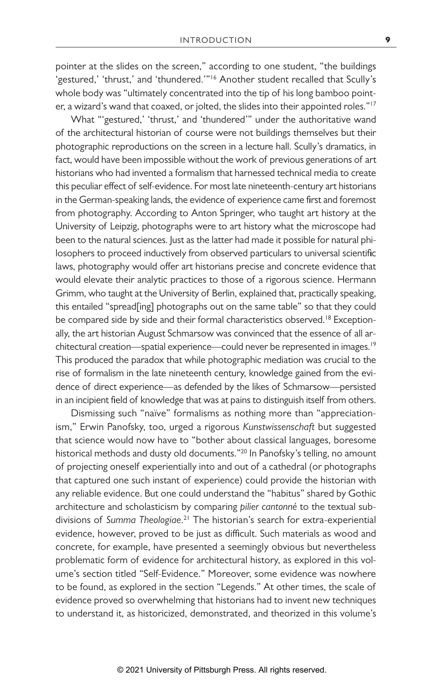pointer at the slides on the screen," according to one student, "the buildings 'gestured,' 'thrust,' and 'thundered.'"<sup>16</sup> Another student recalled that Scully's whole body was "ultimately concentrated into the tip of his long bamboo pointer, a wizard's wand that coaxed, or jolted, the slides into their appointed roles."17

What "'gestured,' 'thrust,' and 'thundered'" under the authoritative wand of the architectural historian of course were not buildings themselves but their photographic reproductions on the screen in a lecture hall. Scully's dramatics, in fact, would have been impossible without the work of previous generations of art historians who had invented a formalism that harnessed technical media to create this peculiar effect of self-evidence. For most late nineteenth-century art historians in the German-speaking lands, the evidence of experience came first and foremost from photography. According to Anton Springer, who taught art history at the University of Leipzig, photographs were to art history what the microscope had been to the natural sciences. Just as the latter had made it possible for natural philosophers to proceed inductively from observed particulars to universal scientific laws, photography would offer art historians precise and concrete evidence that would elevate their analytic practices to those of a rigorous science. Hermann Grimm, who taught at the University of Berlin, explained that, practically speaking, this entailed "spread[ing] photographs out on the same table" so that they could be compared side by side and their formal characteristics observed.<sup>18</sup> Exceptionally, the art historian August Schmarsow was convinced that the essence of all architectural creation—spatial experience—could never be represented in images.<sup>19</sup> This produced the paradox that while photographic mediation was crucial to the rise of formalism in the late nineteenth century, knowledge gained from the evidence of direct experience—as defended by the likes of Schmarsow—persisted in an incipient field of knowledge that was at pains to distinguish itself from others.

Dismissing such "naïve" formalisms as nothing more than "appreciationism," Erwin Panofsky, too, urged a rigorous *Kunstwissenschaft* but suggested that science would now have to "bother about classical languages, boresome historical methods and dusty old documents."<sup>20</sup> In Panofsky's telling, no amount of projecting oneself experientially into and out of a cathedral (or photographs that captured one such instant of experience) could provide the historian with any reliable evidence. But one could understand the "habitus" shared by Gothic architecture and scholasticism by comparing *pilier cantonné* to the textual subdivisions of *Summa Theologiae*. 21 The historian's search for extra-experiential evidence, however, proved to be just as difficult. Such materials as wood and concrete, for example, have presented a seemingly obvious but nevertheless problematic form of evidence for architectural history, as explored in this volume's section titled "Self-Evidence." Moreover, some evidence was nowhere to be found, as explored in the section "Legends." At other times, the scale of evidence proved so overwhelming that historians had to invent new techniques to understand it, as historicized, demonstrated, and theorized in this volume's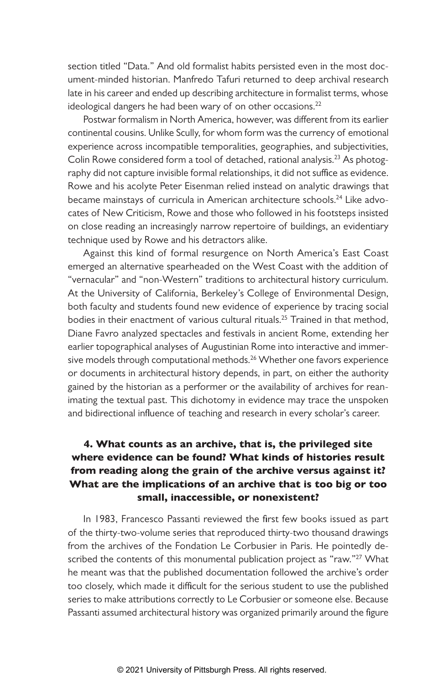section titled "Data." And old formalist habits persisted even in the most document-minded historian. Manfredo Tafuri returned to deep archival research late in his career and ended up describing architecture in formalist terms, whose ideological dangers he had been wary of on other occasions. $^{22}$ 

Postwar formalism in North America, however, was different from its earlier continental cousins. Unlike Scully, for whom form was the currency of emotional experience across incompatible temporalities, geographies, and subjectivities, Colin Rowe considered form a tool of detached, rational analysis.<sup>23</sup> As photography did not capture invisible formal relationships, it did not suffice as evidence. Rowe and his acolyte Peter Eisenman relied instead on analytic drawings that became mainstays of curricula in American architecture schools.<sup>24</sup> Like advocates of New Criticism, Rowe and those who followed in his footsteps insisted on close reading an increasingly narrow repertoire of buildings, an evidentiary technique used by Rowe and his detractors alike.

Against this kind of formal resurgence on North America's East Coast emerged an alternative spearheaded on the West Coast with the addition of "vernacular" and "non-Western" traditions to architectural history curriculum. At the University of California, Berkeley's College of Environmental Design, both faculty and students found new evidence of experience by tracing social bodies in their enactment of various cultural rituals.<sup>25</sup> Trained in that method, Diane Favro analyzed spectacles and festivals in ancient Rome, extending her earlier topographical analyses of Augustinian Rome into interactive and immersive models through computational methods.<sup>26</sup> Whether one favors experience or documents in architectural history depends, in part, on either the authority gained by the historian as a performer or the availability of archives for reanimating the textual past. This dichotomy in evidence may trace the unspoken and bidirectional influence of teaching and research in every scholar's career.

## **4. What counts as an archive, that is, the privileged site where evidence can be found? What kinds of histories result from reading along the grain of the archive versus against it? What are the implications of an archive that is too big or too small, inaccessible, or nonexistent?**

In 1983, Francesco Passanti reviewed the first few books issued as part of the thirty-two-volume series that reproduced thirty-two thousand drawings from the archives of the Fondation Le Corbusier in Paris. He pointedly described the contents of this monumental publication project as "raw."<sup>27</sup> What he meant was that the published documentation followed the archive's order too closely, which made it difficult for the serious student to use the published series to make attributions correctly to Le Corbusier or someone else. Because Passanti assumed architectural history was organized primarily around the figure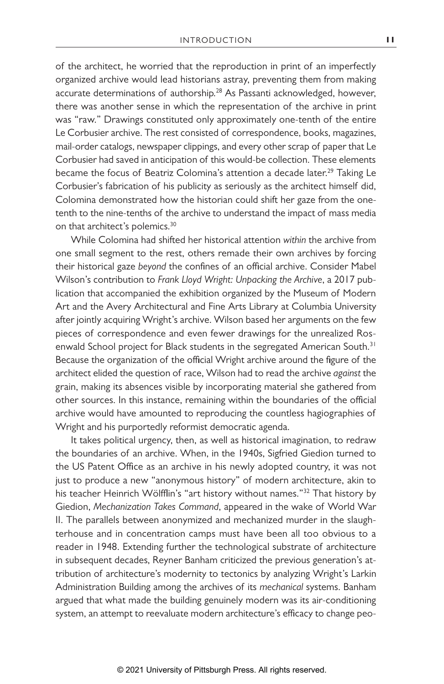of the architect, he worried that the reproduction in print of an imperfectly organized archive would lead historians astray, preventing them from making accurate determinations of authorship.<sup>28</sup> As Passanti acknowledged, however, there was another sense in which the representation of the archive in print was "raw." Drawings constituted only approximately one-tenth of the entire Le Corbusier archive. The rest consisted of correspondence, books, magazines, mail-order catalogs, newspaper clippings, and every other scrap of paper that Le Corbusier had saved in anticipation of this would-be collection. These elements became the focus of Beatriz Colomina's attention a decade later.<sup>29</sup> Taking Le Corbusier's fabrication of his publicity as seriously as the architect himself did, Colomina demonstrated how the historian could shift her gaze from the onetenth to the nine-tenths of the archive to understand the impact of mass media on that architect's polemics.<sup>30</sup>

While Colomina had shifted her historical attention *within* the archive from one small segment to the rest, others remade their own archives by forcing their historical gaze *beyond* the confines of an official archive. Consider Mabel Wilson's contribution to *Frank Lloyd Wright: Unpacking the Archive*, a 2017 publication that accompanied the exhibition organized by the Museum of Modern Art and the Avery Architectural and Fine Arts Library at Columbia University after jointly acquiring Wright's archive. Wilson based her arguments on the few pieces of correspondence and even fewer drawings for the unrealized Rosenwald School project for Black students in the segregated American South.<sup>31</sup> Because the organization of the official Wright archive around the figure of the architect elided the question of race, Wilson had to read the archive *against* the grain, making its absences visible by incorporating material she gathered from other sources. In this instance, remaining within the boundaries of the official archive would have amounted to reproducing the countless hagiographies of Wright and his purportedly reformist democratic agenda.

It takes political urgency, then, as well as historical imagination, to redraw the boundaries of an archive. When, in the 1940s, Sigfried Giedion turned to the US Patent Office as an archive in his newly adopted country, it was not just to produce a new "anonymous history" of modern architecture, akin to his teacher Heinrich Wölfflin's "art history without names."<sup>32</sup> That history by Giedion, *Mechanization Takes Command*, appeared in the wake of World War II. The parallels between anonymized and mechanized murder in the slaughterhouse and in concentration camps must have been all too obvious to a reader in 1948. Extending further the technological substrate of architecture in subsequent decades, Reyner Banham criticized the previous generation's attribution of architecture's modernity to tectonics by analyzing Wright's Larkin Administration Building among the archives of its *mechanical* systems. Banham argued that what made the building genuinely modern was its air-conditioning system, an attempt to reevaluate modern architecture's efficacy to change peo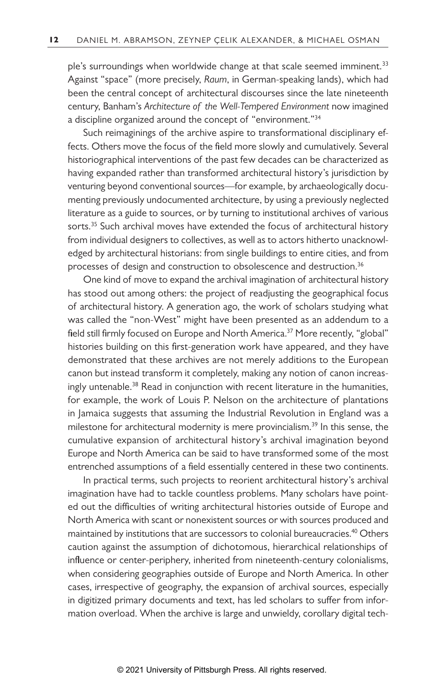ple's surroundings when worldwide change at that scale seemed imminent.<sup>33</sup> Against "space" (more precisely, *Raum*, in German-speaking lands), which had been the central concept of architectural discourses since the late nineteenth century, Banham's *Architecture of the Well-Tempered Environment* now imagined a discipline organized around the concept of "environment."<sup>34</sup>

Such reimaginings of the archive aspire to transformational disciplinary effects. Others move the focus of the field more slowly and cumulatively. Several historiographical interventions of the past few decades can be characterized as having expanded rather than transformed architectural history's jurisdiction by venturing beyond conventional sources—for example, by archaeologically documenting previously undocumented architecture, by using a previously neglected literature as a guide to sources, or by turning to institutional archives of various sorts.<sup>35</sup> Such archival moves have extended the focus of architectural history from individual designers to collectives, as well as to actors hitherto unacknowledged by architectural historians: from single buildings to entire cities, and from processes of design and construction to obsolescence and destruction.<sup>36</sup>

One kind of move to expand the archival imagination of architectural history has stood out among others: the project of readjusting the geographical focus of architectural history. A generation ago, the work of scholars studying what was called the "non-West" might have been presented as an addendum to a field still firmly focused on Europe and North America.<sup>37</sup> More recently, "global" histories building on this first-generation work have appeared, and they have demonstrated that these archives are not merely additions to the European canon but instead transform it completely, making any notion of canon increasingly untenable.<sup>38</sup> Read in conjunction with recent literature in the humanities, for example, the work of Louis P. Nelson on the architecture of plantations in Jamaica suggests that assuming the Industrial Revolution in England was a milestone for architectural modernity is mere provincialism.<sup>39</sup> In this sense, the cumulative expansion of architectural history's archival imagination beyond Europe and North America can be said to have transformed some of the most entrenched assumptions of a field essentially centered in these two continents.

In practical terms, such projects to reorient architectural history's archival imagination have had to tackle countless problems. Many scholars have pointed out the difficulties of writing architectural histories outside of Europe and North America with scant or nonexistent sources or with sources produced and maintained by institutions that are successors to colonial bureaucracies.<sup>40</sup> Others caution against the assumption of dichotomous, hierarchical relationships of influence or center-periphery, inherited from nineteenth-century colonialisms, when considering geographies outside of Europe and North America. In other cases, irrespective of geography, the expansion of archival sources, especially in digitized primary documents and text, has led scholars to suffer from information overload. When the archive is large and unwieldy, corollary digital tech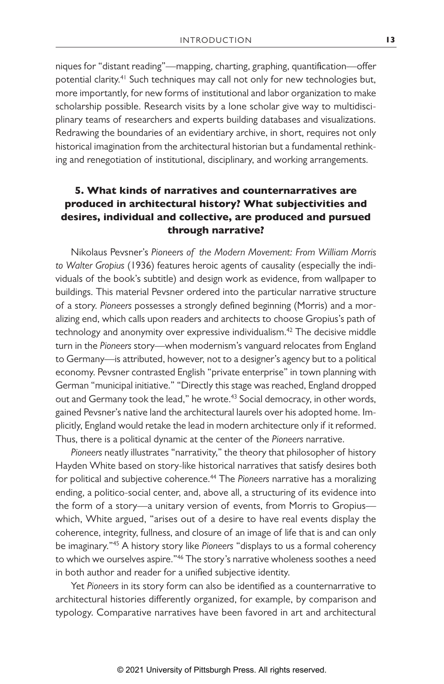niques for "distant reading"—mapping, charting, graphing, quantification—offer potential clarity.<sup>41</sup> Such techniques may call not only for new technologies but, more importantly, for new forms of institutional and labor organization to make scholarship possible. Research visits by a lone scholar give way to multidisciplinary teams of researchers and experts building databases and visualizations. Redrawing the boundaries of an evidentiary archive, in short, requires not only historical imagination from the architectural historian but a fundamental rethinking and renegotiation of institutional, disciplinary, and working arrangements.

## **5. What kinds of narratives and counternarratives are produced in architectural history? What subjectivities and desires, individual and collective, are produced and pursued through narrative?**

Nikolaus Pevsner's *Pioneers of the Modern Movement: From William Morris to Walter Gropius* (1936) features heroic agents of causality (especially the individuals of the book's subtitle) and design work as evidence, from wallpaper to buildings. This material Pevsner ordered into the particular narrative structure of a story. *Pioneers* possesses a strongly defined beginning (Morris) and a moralizing end, which calls upon readers and architects to choose Gropius's path of technology and anonymity over expressive individualism.<sup>42</sup> The decisive middle turn in the *Pioneers* story—when modernism's vanguard relocates from England to Germany—is attributed, however, not to a designer's agency but to a political economy. Pevsner contrasted English "private enterprise" in town planning with German "municipal initiative." "Directly this stage was reached, England dropped out and Germany took the lead," he wrote.<sup>43</sup> Social democracy, in other words, gained Pevsner's native land the architectural laurels over his adopted home. Implicitly, England would retake the lead in modern architecture only if it reformed. Thus, there is a political dynamic at the center of the *Pioneers* narrative.

*Pioneers* neatly illustrates "narrativity," the theory that philosopher of history Hayden White based on story-like historical narratives that satisfy desires both for political and subjective coherence.<sup>44</sup> The *Pioneers* narrative has a moralizing ending, a politico-social center, and, above all, a structuring of its evidence into the form of a story—a unitary version of events, from Morris to Gropius which, White argued, "arises out of a desire to have real events display the coherence, integrity, fullness, and closure of an image of life that is and can only be imaginary."45 A history story like *Pioneers* "displays to us a formal coherency to which we ourselves aspire."<sup>46</sup> The story's narrative wholeness soothes a need in both author and reader for a unified subjective identity.

Yet *Pioneers* in its story form can also be identified as a counternarrative to architectural histories differently organized, for example, by comparison and typology. Comparative narratives have been favored in art and architectural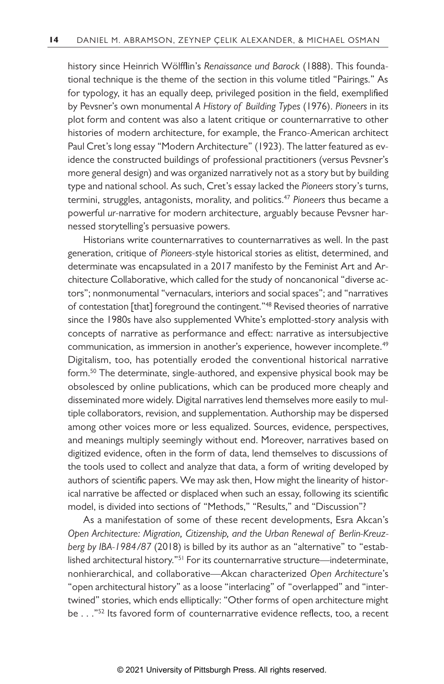history since Heinrich Wölfflin's *Renaissance und Barock* (1888). This foundational technique is the theme of the section in this volume titled "Pairings." As for typology, it has an equally deep, privileged position in the field, exemplified by Pevsner's own monumental *A History of Building Types* (1976). *Pioneers* in its plot form and content was also a latent critique or counternarrative to other histories of modern architecture, for example, the Franco-American architect Paul Cret's long essay "Modern Architecture" (1923). The latter featured as evidence the constructed buildings of professional practitioners (versus Pevsner's more general design) and was organized narratively not as a story but by building type and national school. As such, Cret's essay lacked the *Pioneers* story's turns, termini, struggles, antagonists, morality, and politics.47 *Pioneers* thus became a powerful *ur*-narrative for modern architecture, arguably because Pevsner harnessed storytelling's persuasive powers.

Historians write counternarratives to counternarratives as well. In the past generation, critique of *Pioneers*-style historical stories as elitist, determined, and determinate was encapsulated in a 2017 manifesto by the Feminist Art and Architecture Collaborative, which called for the study of noncanonical "diverse actors"; nonmonumental "vernaculars, interiors and social spaces"; and "narratives of contestation [that] foreground the contingent."<sup>48</sup> Revised theories of narrative since the 1980s have also supplemented White's emplotted-story analysis with concepts of narrative as performance and effect: narrative as intersubjective communication, as immersion in another's experience, however incomplete.<sup>49</sup> Digitalism, too, has potentially eroded the conventional historical narrative form.50 The determinate, single-authored, and expensive physical book may be obsolesced by online publications, which can be produced more cheaply and disseminated more widely. Digital narratives lend themselves more easily to multiple collaborators, revision, and supplementation. Authorship may be dispersed among other voices more or less equalized. Sources, evidence, perspectives, and meanings multiply seemingly without end. Moreover, narratives based on digitized evidence, often in the form of data, lend themselves to discussions of the tools used to collect and analyze that data, a form of writing developed by authors of scientific papers. We may ask then, How might the linearity of historical narrative be affected or displaced when such an essay, following its scientific model, is divided into sections of "Methods," "Results," and "Discussion"?

As a manifestation of some of these recent developments, Esra Akcan's *Open Architecture: Migration, Citizenship, and the Urban Renewal of Berlin-Kreuzberg by IBA-1984/87* (2018) is billed by its author as an "alternative" to "established architectural history."<sup>51</sup> For its counternarrative structure—indeterminate, nonhierarchical, and collaborative—Akcan characterized *Open Architecture*'s "open architectural history" as a loose "interlacing" of "overlapped" and "intertwined" stories, which ends elliptically: "Other forms of open architecture might be . . ."<sup>52</sup> Its favored form of counternarrative evidence reflects, too, a recent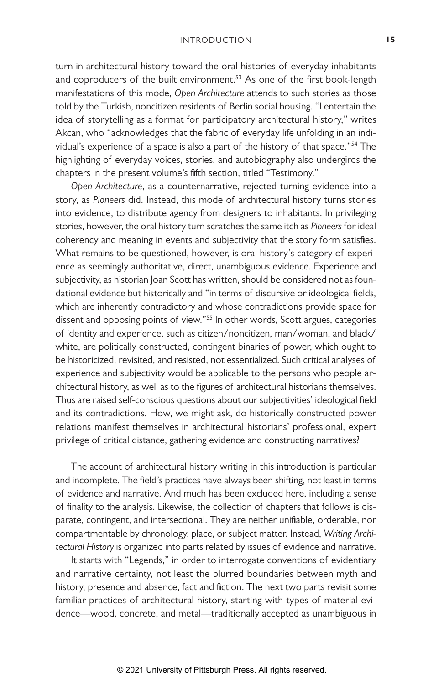turn in architectural history toward the oral histories of everyday inhabitants and coproducers of the built environment.<sup>53</sup> As one of the first book-length manifestations of this mode, *Open Architecture* attends to such stories as those told by the Turkish, noncitizen residents of Berlin social housing. "I entertain the idea of storytelling as a format for participatory architectural history," writes Akcan, who "acknowledges that the fabric of everyday life unfolding in an individual's experience of a space is also a part of the history of that space."54 The highlighting of everyday voices, stories, and autobiography also undergirds the chapters in the present volume's fifth section, titled "Testimony."

*Open Architecture*, as a counternarrative, rejected turning evidence into a story, as *Pioneers* did. Instead, this mode of architectural history turns stories into evidence, to distribute agency from designers to inhabitants. In privileging stories, however, the oral history turn scratches the same itch as *Pioneers* for ideal coherency and meaning in events and subjectivity that the story form satisfies. What remains to be questioned, however, is oral history's category of experience as seemingly authoritative, direct, unambiguous evidence. Experience and subjectivity, as historian Joan Scott has written, should be considered not as foundational evidence but historically and "in terms of discursive or ideological fields, which are inherently contradictory and whose contradictions provide space for dissent and opposing points of view."<sup>55</sup> In other words, Scott argues, categories of identity and experience, such as citizen/noncitizen, man/woman, and black/ white, are politically constructed, contingent binaries of power, which ought to be historicized, revisited, and resisted, not essentialized. Such critical analyses of experience and subjectivity would be applicable to the persons who people architectural history, as well as to the figures of architectural historians themselves. Thus are raised self-conscious questions about our subjectivities' ideological field and its contradictions. How, we might ask, do historically constructed power relations manifest themselves in architectural historians' professional, expert privilege of critical distance, gathering evidence and constructing narratives?

The account of architectural history writing in this introduction is particular and incomplete. The field's practices have always been shifting, not least in terms of evidence and narrative. And much has been excluded here, including a sense of finality to the analysis. Likewise, the collection of chapters that follows is disparate, contingent, and intersectional. They are neither unifiable, orderable, nor compartmentable by chronology, place, or subject matter. Instead, *Writing Architectural History* is organized into parts related by issues of evidence and narrative.

It starts with "Legends," in order to interrogate conventions of evidentiary and narrative certainty, not least the blurred boundaries between myth and history, presence and absence, fact and fiction. The next two parts revisit some familiar practices of architectural history, starting with types of material evidence—wood, concrete, and metal—traditionally accepted as unambiguous in